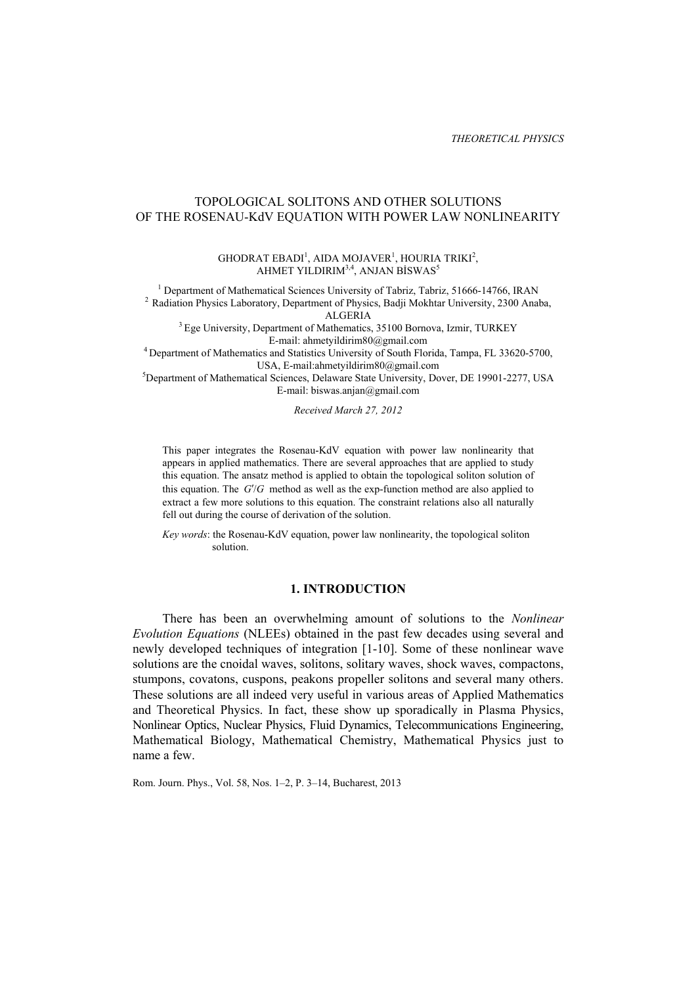## TOPOLOGICAL SOLITONS AND OTHER SOLUTIONS OF THE ROSENAU-KdV EQUATION WITH POWER LAW NONLINEARITY

#### $GHODRAT EBADI<sup>1</sup>, AIDA MOJAVER<sup>1</sup>, HOURIA TRIKI<sup>2</sup>,$ AHMET YILDIRIM $^{3,4}$ , ANJAN BİSWAS $^5$

<sup>1</sup> Department of Mathematical Sciences University of Tabriz, Tabriz, 51666-14766, IRAN <sup>2</sup> Radiation Physics Laboratory, Department of Physics, Badji Mokhtar University, 2300 Anaba,

ALGERIA<br><sup>3</sup> Ege University, Department of Mathematics, 35100 Bornova, Izmir, TURKEY<br>E-mail: ahmetyildirim80@gmail.com

<sup>4</sup> Department of Mathematics and Statistics University of South Florida, Tampa, FL 33620-5700, USA, E-mail:ahmetyildirim80@gmail.com

USA, E-mail:ahmetyildirim80@gmail.com<br>
<sup>5</sup>Department of Mathematical Sciences, Delaware State University, Dover, DE 19901-2277, USA E-mail: biswas.anjan@gmail.com

*Received March 27, 2012* 

This paper integrates the Rosenau-KdV equation with power law nonlinearity that appears in applied mathematics. There are several approaches that are applied to study this equation. The ansatz method is applied to obtain the topological soliton solution of this equation. The  $G/G$  method as well as the exp-function method are also applied to extract a few more solutions to this equation. The constraint relations also all naturally fell out during the course of derivation of the solution.

*Key words*: the Rosenau-KdV equation, power law nonlinearity, the topological soliton solution.

# **1. INTRODUCTION**

There has been an overwhelming amount of solutions to the *Nonlinear Evolution Equations* (NLEEs) obtained in the past few decades using several and newly developed techniques of integration [1-10]. Some of these nonlinear wave solutions are the cnoidal waves, solitons, solitary waves, shock waves, compactons, stumpons, covatons, cuspons, peakons propeller solitons and several many others. These solutions are all indeed very useful in various areas of Applied Mathematics and Theoretical Physics. In fact, these show up sporadically in Plasma Physics, Nonlinear Optics, Nuclear Physics, Fluid Dynamics, Telecommunications Engineering, Mathematical Biology, Mathematical Chemistry, Mathematical Physics just to name a few.

Rom. Journ. Phys., Vol. 58, Nos. 1–2, P. 3–14, Bucharest, 2013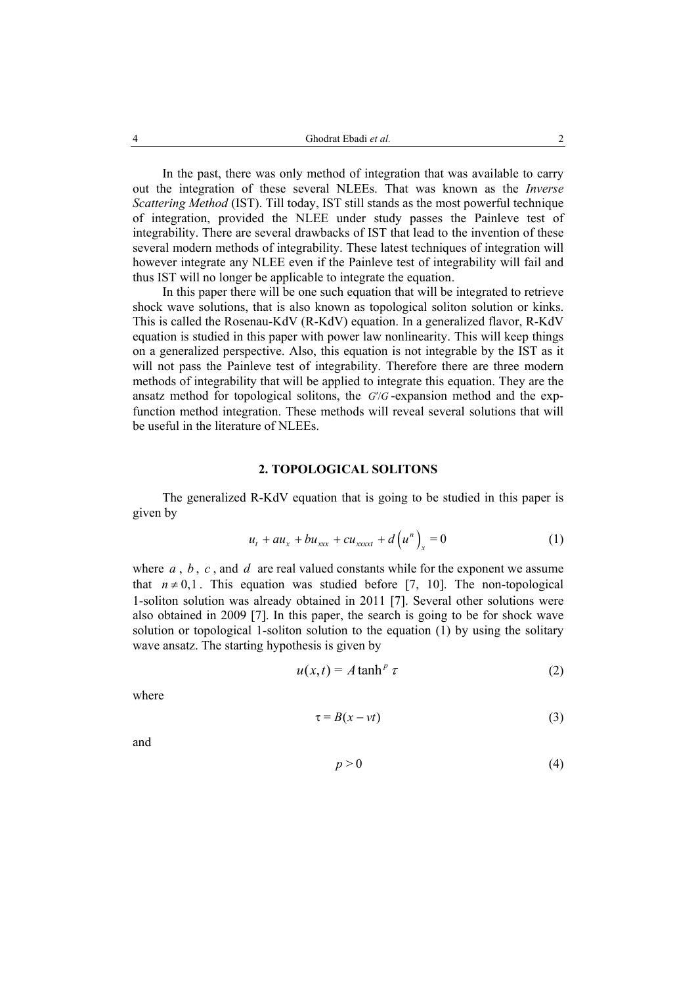In the past, there was only method of integration that was available to carry out the integration of these several NLEEs. That was known as the *Inverse Scattering Method* (IST). Till today, IST still stands as the most powerful technique of integration, provided the NLEE under study passes the Painleve test of integrability. There are several drawbacks of IST that lead to the invention of these several modern methods of integrability. These latest techniques of integration will however integrate any NLEE even if the Painleve test of integrability will fail and thus IST will no longer be applicable to integrate the equation.

In this paper there will be one such equation that will be integrated to retrieve shock wave solutions, that is also known as topological soliton solution or kinks. This is called the Rosenau-KdV (R-KdV) equation. In a generalized flavor, R-KdV equation is studied in this paper with power law nonlinearity. This will keep things on a generalized perspective. Also, this equation is not integrable by the IST as it will not pass the Painleve test of integrability. Therefore there are three modern methods of integrability that will be applied to integrate this equation. They are the ansatz method for topological solitons, the  $G/G$ -expansion method and the expfunction method integration. These methods will reveal several solutions that will be useful in the literature of NLEEs.

#### **2. TOPOLOGICAL SOLITONS**

The generalized R-KdV equation that is going to be studied in this paper is given by

$$
u_{t} + a u_{x} + b u_{xxx} + c u_{xxxx} + d(u^{n})_{x} = 0
$$
 (1)

where  $a$ ,  $b$ ,  $c$ , and  $d$  are real valued constants while for the exponent we assume that  $n \neq 0,1$ . This equation was studied before [7, 10]. The non-topological 1-soliton solution was already obtained in 2011 [7]. Several other solutions were also obtained in 2009 [7]. In this paper, the search is going to be for shock wave solution or topological 1-soliton solution to the equation (1) by using the solitary wave ansatz. The starting hypothesis is given by

$$
u(x,t) = A \tanh^p \tau \tag{2}
$$

where

$$
\tau = B(x - vt) \tag{3}
$$

and

$$
p > 0 \tag{4}
$$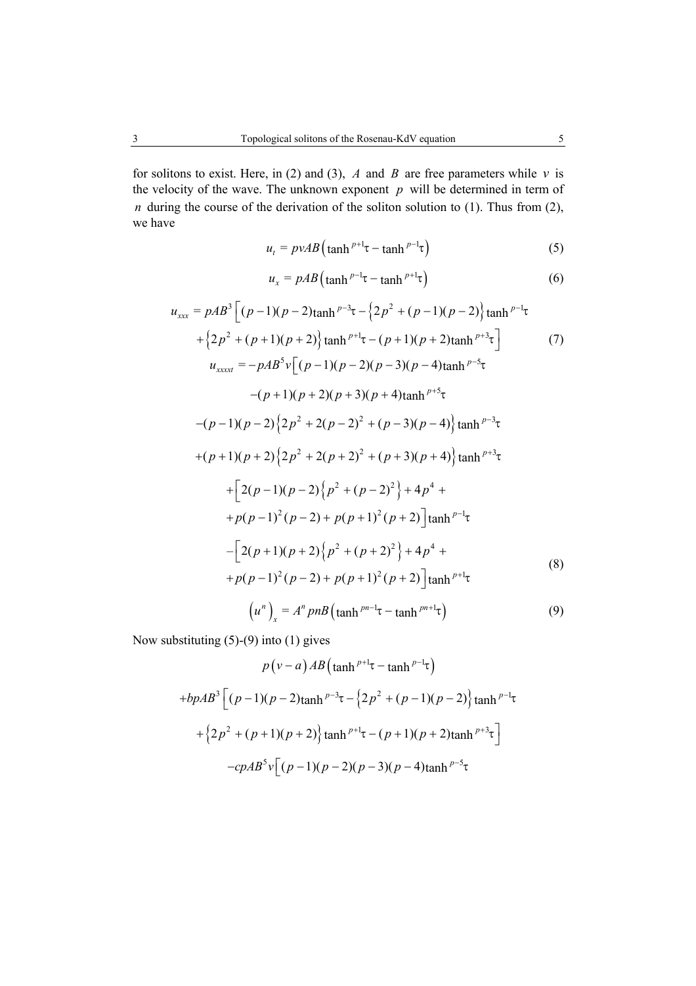for solitons to exist. Here, in (2) and (3),  $A$  and  $B$  are free parameters while  $v$  is the velocity of the wave. The unknown exponent  $p$  will be determined in term of *n* during the course of the derivation of the soliton solution to (1). Thus from (2), we have

$$
u_t = p \nu A B \left( \tanh^{p+1} \tau - \tanh^{p-1} \tau \right) \tag{5}
$$

$$
u_x = pAB \left(\tanh^{p-1} \tau - \tanh^{p+1} \tau\right) \tag{6}
$$

$$
u_{xxx} = pAB^{3} \Big[ (p-1)(p-2)\tanh^{p-3}\tau - \left\{2p^{2} + (p-1)(p-2)\right\} \tanh^{p-1}\tau + \left\{2p^{2} + (p+1)(p+2)\tanh^{p+1}\tau - (p+1)(p+2)\tanh^{p+3}\tau\right\} \qquad (7)
$$
  
\n
$$
u_{xxxx} = -pAB^{5}v \Big[ (p-1)(p-2)(p-3)(p-4)\tanh^{p-5}\tau - (p+1)(p+2)(p+3)(p+4)\tanh^{p+5}\tau
$$
  
\n
$$
-(p-1)(p-2)\left\{2p^{2} + 2(p-2)^{2} + (p-3)(p-4)\tanh^{p-3}\tau + (p+1)(p+2)\left\{2p^{2} + 2(p+2)^{2} + (p+3)(p+4)\tanh^{p+3}\tau + \frac{2(p-1)(p-2)}{p^{2} + (p-2)^{2}}\right\} + 4p^{4} + \frac{p(p-1)^{2}(p-2) + p(p+1)^{2}(p+2)}{\tanh^{p-1}\tau}
$$
  
\n
$$
-\Big[ 2(p+1)(p+2)\left\{p^{2} + (p+2)^{2}\right\} + 4p^{4} + \frac{p(p-1)^{2}(p-2) + p(p+1)^{2}(p+2)}{\tanh^{p-1}\tau} \Big]
$$
  
\n
$$
+p(p-1)^{2}(p-2) + p(p+1)^{2}(p+2)\Big] \tanh^{p+1}\tau
$$
  
\n
$$
\Big[ u^{n} \Big]_{x} = A^{n} p n B \Big( \tanh^{pn-1}\tau - \tanh^{pn+1}\tau \Big)
$$
  
\n(9)

Now substituting (5)-(9) into (1) gives

$$
p(v-a)AB\left(\tanh^{p+1}\tau-\tanh^{p-1}\tau\right)
$$
  
+ $bpAB^3\left[(p-1)(p-2)\tanh^{p-3}\tau-\left\{2p^2+(p-1)(p-2)\right\}\tanh^{p-1}\tau$   
+ $\left\{2p^2+(p+1)(p+2)\right\}\tanh^{p+1}\tau-(p+1)(p+2)\tanh^{p+3}\tau$   
- $cpAB^5v\left[(p-1)(p-2)(p-3)(p-4)\tanh^{p-5}\tau\right]$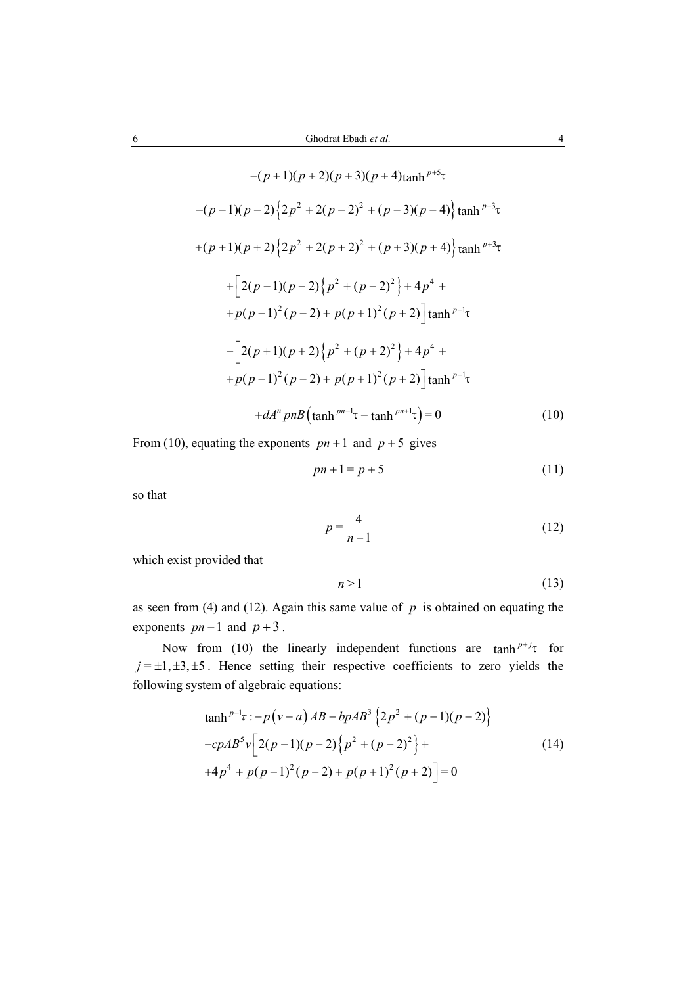$$
-(p+1)(p+2)(p+3)(p+4)\tanh^{p+5}\tau
$$
  
\n
$$
-(p-1)(p-2)\left\{2p^2+2(p-2)^2+(p-3)(p-4)\right\}\tanh^{p-3}\tau
$$
  
\n
$$
+(p+1)(p+2)\left\{2p^2+2(p+2)^2+(p+3)(p+4)\right\}\tanh^{p+3}\tau
$$
  
\n
$$
+\left[2(p-1)(p-2)\left\{p^2+(p-2)^2\right\}+4p^4+\right.
$$
  
\n
$$
+p(p-1)^2(p-2)+p(p+1)^2(p+2)\left[\tanh^{p-1}\tau\right]
$$
  
\n
$$
-\left[2(p+1)(p+2)\left\{p^2+(p+2)^2\right\}+4p^4+\right.
$$
  
\n
$$
+p(p-1)^2(p-2)+p(p+1)^2(p+2)\left[\tanh^{p+1}\tau\right]
$$
  
\n
$$
+dA^n p nB\left(\tanh^{pn-1}\tau-\tanh^{pn+1}\tau\right)=0
$$
 (10)

From (10), equating the exponents  $pn + 1$  and  $p + 5$  gives

$$
pn + 1 = p + 5 \tag{11}
$$

so that

$$
p = \frac{4}{n-1} \tag{12}
$$

which exist provided that

$$
n > 1 \tag{13}
$$

as seen from (4) and (12). Again this same value of  $p$  is obtained on equating the exponents  $pn-1$  and  $p+3$ .

Now from (10) the linearly independent functions are  $\tanh^{p+j}\tau$  for  $j = \pm 1, \pm 3, \pm 5$ . Hence setting their respective coefficients to zero yields the following system of algebraic equations:

$$
\tanh^{p-1}\tau: -p(v-a)AB - bpAB^3 \{2p^2 + (p-1)(p-2)\}
$$
  
\n
$$
-cpAB^5v \left[2(p-1)(p-2)\left\{p^2 + (p-2)^2\right\} +
$$
  
\n
$$
+4p^4 + p(p-1)^2(p-2) + p(p+1)^2(p+2) = 0
$$
\n(14)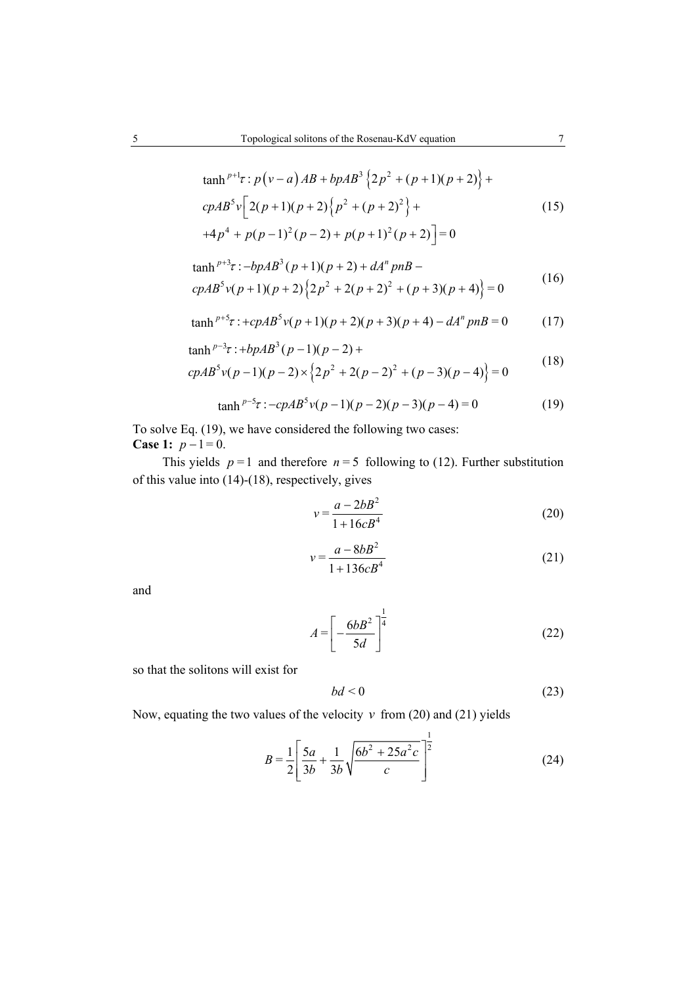$$
\tanh^{p+1}\tau : p(v-a)AB + bpAB^3 \{2p^2 + (p+1)(p+2)\} + cpAB^5v \left[2(p+1)(p+2)\{p^2 + (p+2)^2\} + 4p^4 + p(p-1)^2(p-2) + p(p+1)^2(p+2)\right] = 0
$$
\n(15)

$$
\tanh^{p+3}z: -bpAB^3(p+1)(p+2) + dA^n pnB -cpAB^5v(p+1)(p+2)\left\{2p^2 + 2(p+2)^2 + (p+3)(p+4)\right\} = 0
$$
 (16)

$$
\tanh^{p+5} \tau : +cpAB^5 \nu (p+1)(p+2)(p+3)(p+4) - dA^n p nB = 0 \tag{17}
$$

$$
\tanh^{p-3}z : +bpAB^3(p-1)(p-2) +
$$
  
\n
$$
cpAB^5v(p-1)(p-2) \times \left\{2p^2 + 2(p-2)^2 + (p-3)(p-4)\right\} = 0
$$
\n(18)

$$
\tanh^{p-5}r: -cpAB^{5}v(p-1)(p-2)(p-3)(p-4) = 0
$$
 (19)

To solve Eq. (19), we have considered the following two cases: **Case 1:**  $p-1=0$ .

This yields  $p = 1$  and therefore  $n = 5$  following to (12). Further substitution of this value into (14)-(18), respectively, gives

$$
v = \frac{a - 2bB^2}{1 + 16cB^4}
$$
 (20)

$$
v = \frac{a - 8bB^2}{1 + 136cB^4} \tag{21}
$$

and

$$
A = \left[ -\frac{6bB^2}{5d} \right]^{\frac{1}{4}}
$$
 (22)

so that the solitons will exist for

$$
bd < 0\tag{23}
$$

Now, equating the two values of the velocity  $v$  from (20) and (21) yields

$$
B = \frac{1}{2} \left[ \frac{5a}{3b} + \frac{1}{3b} \sqrt{\frac{6b^2 + 25a^2c}{c}} \right]^{\frac{1}{2}}
$$
(24)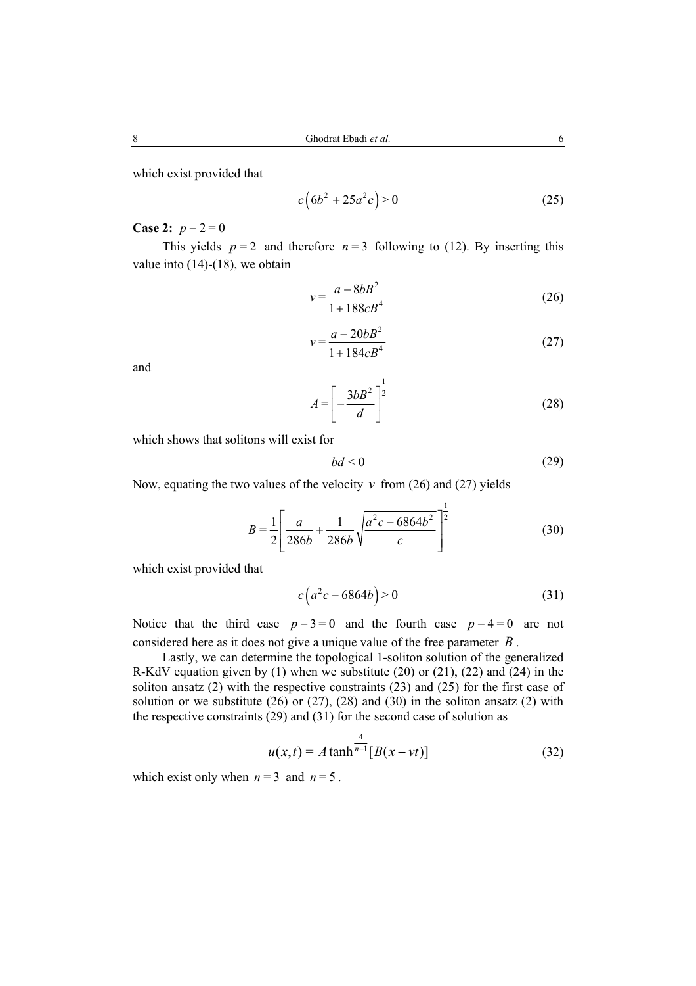which exist provided that

$$
c(6b^2 + 25a^2c) > 0
$$
 (25)

# **Case 2:**  $p - 2 = 0$

This yields  $p = 2$  and therefore  $n = 3$  following to (12). By inserting this value into  $(14)-(18)$ , we obtain

$$
v = \frac{a - 8bB^2}{1 + 188cB^4} \tag{26}
$$

$$
v = \frac{a - 20bB^2}{1 + 184cB^4} \tag{27}
$$

and

$$
A = \left[ -\frac{3b^2}{d} \right]^{\frac{1}{2}} \tag{28}
$$

which shows that solitons will exist for

$$
bd < 0 \tag{29}
$$

Now, equating the two values of the velocity  $v$  from (26) and (27) yields

$$
B = \frac{1}{2} \left[ \frac{a}{286b} + \frac{1}{286b} \sqrt{\frac{a^2c - 6864b^2}{c}} \right]^{\frac{1}{2}}
$$
(30)

which exist provided that

$$
c(a^2c - 6864b) > 0 \tag{31}
$$

Notice that the third case  $p - 3 = 0$  and the fourth case  $p - 4 = 0$  are not considered here as it does not give a unique value of the free parameter *B* .

Lastly, we can determine the topological 1-soliton solution of the generalized R-KdV equation given by (1) when we substitute (20) or (21), (22) and (24) in the soliton ansatz (2) with the respective constraints (23) and (25) for the first case of solution or we substitute  $(26)$  or  $(27)$ ,  $(28)$  and  $(30)$  in the soliton ansatz  $(2)$  with the respective constraints (29) and (31) for the second case of solution as

$$
u(x,t) = A \tanh^{\frac{4}{n-1}} [B(x - vt)]
$$
 (32)

which exist only when  $n = 3$  and  $n = 5$ .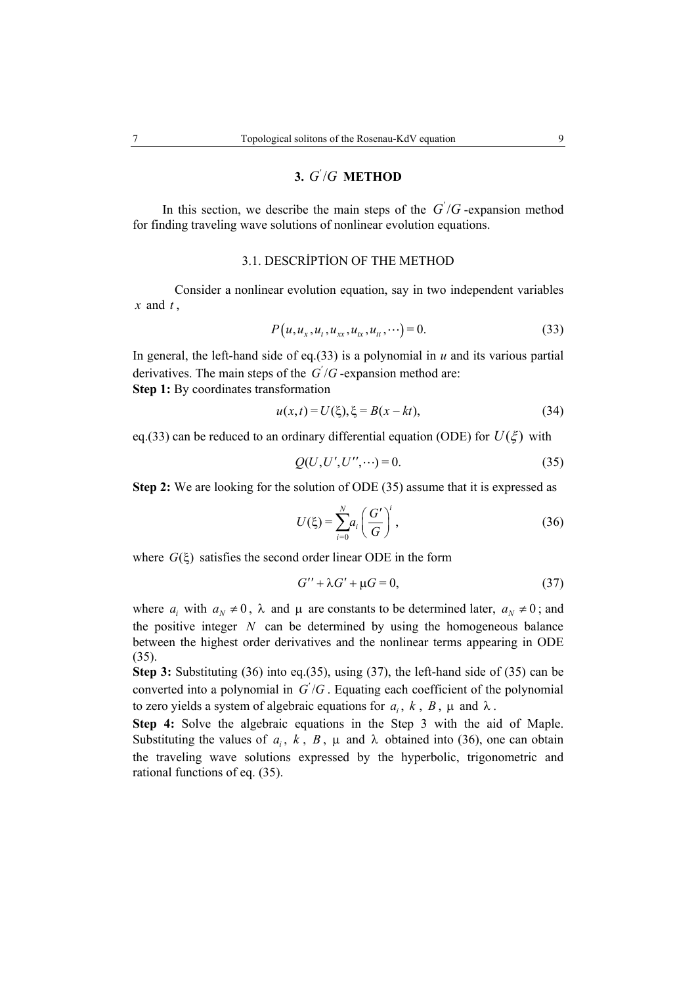# **3.**  $G'/G$  **METHOD**

In this section, we describe the main steps of the  $G'/G$ -expansion method for finding traveling wave solutions of nonlinear evolution equations.

## 3.1. DESCRİPTİON OF THE METHOD

Consider a nonlinear evolution equation, say in two independent variables  $\boldsymbol{x}$  and  $\boldsymbol{t}$ .

$$
P(u, u_x, u_t, u_{xx}, u_{tx}, u_{tt}, \cdots) = 0.
$$
\n(33)

In general, the left-hand side of eq.(33) is a polynomial in  $u$  and its various partial derivatives. The main steps of the  $G'/G$ -expansion method are: **Step 1:** By coordinates transformation

$$
u(x,t) = U(\xi), \xi = B(x - kt), \tag{34}
$$

eq.(33) can be reduced to an ordinary differential equation (ODE) for  $U(\xi)$  with

$$
Q(U, U', U'', \cdots) = 0.
$$
\n(35)

**Step 2:** We are looking for the solution of ODE (35) assume that it is expressed as

$$
U(\xi) = \sum_{i=0}^{N} a_i \left(\frac{G'}{G}\right)^i,
$$
\n(36)

where  $G(\xi)$  satisfies the second order linear ODE in the form

$$
G'' + \lambda G' + \mu G = 0,\tag{37}
$$

where  $a_i$  with  $a_N \neq 0$ ,  $\lambda$  and  $\mu$  are constants to be determined later,  $a_N \neq 0$ ; and the positive integer *N* can be determined by using the homogeneous balance between the highest order derivatives and the nonlinear terms appearing in ODE (35).

**Step 3:** Substituting (36) into eq.(35), using (37), the left-hand side of (35) can be converted into a polynomial in  $G'/G$ . Equating each coefficient of the polynomial to zero yields a system of algebraic equations for  $a_i$ ,  $k$ ,  $B$ ,  $\mu$  and  $\lambda$ .

**Step 4:** Solve the algebraic equations in the Step 3 with the aid of Maple. Substituting the values of  $a_i$ ,  $k$ ,  $B$ ,  $\mu$  and  $\lambda$  obtained into (36), one can obtain the traveling wave solutions expressed by the hyperbolic, trigonometric and rational functions of eq. (35).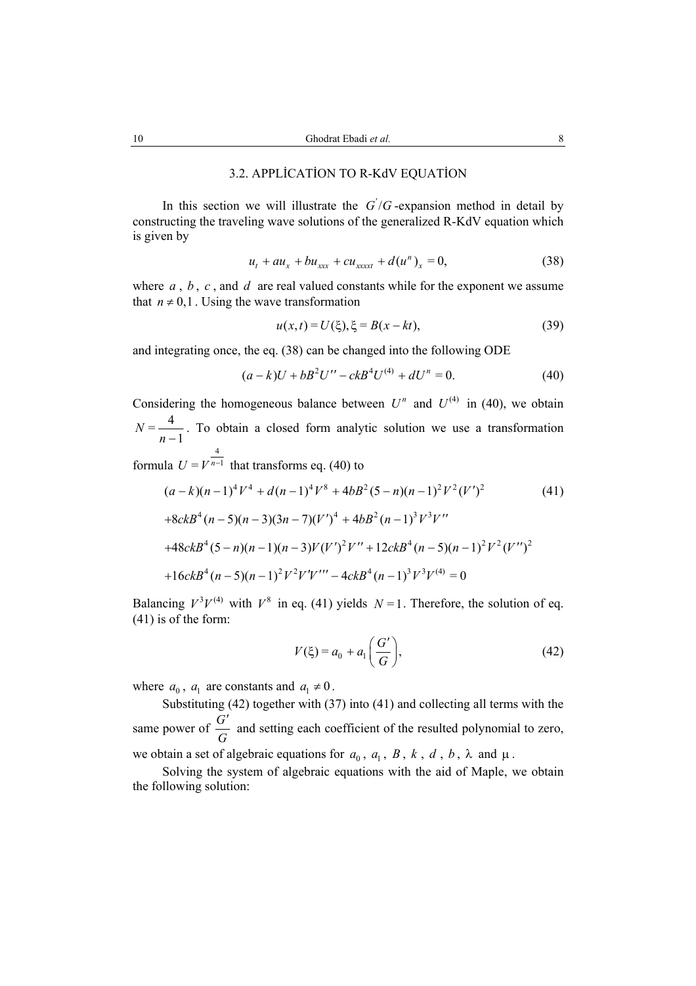## 3.2. APPLİCATİON TO R-KdV EQUATİON

In this section we will illustrate the  $G'/G$ -expansion method in detail by constructing the traveling wave solutions of the generalized R-KdV equation which is given by

$$
u_t + au_x + bu_{xxx} + cu_{xxxxt} + d(u^n)_x = 0,
$$
 (38)

where *a* , *b* , *c* , and *d* are real valued constants while for the exponent we assume that  $n \neq 0,1$ . Using the wave transformation

$$
u(x,t) = U(\xi), \xi = B(x - kt),\tag{39}
$$

and integrating once, the eq. (38) can be changed into the following ODE

$$
(a-k)U + bB2U'' - ckB4U(4) + dUn = 0.
$$
 (40)

Considering the homogeneous balance between  $U^n$  and  $U^{(4)}$  in (40), we obtain  $N = \frac{4}{n-1}$ . To obtain a closed form analytic solution we use a transformation 4

formula  $U = V^{n-1}$  that transforms eq. (40) to

$$
(a-k)(n-1)^{4}V^{4} + d(n-1)^{4}V^{8} + 4bB^{2}(5-n)(n-1)^{2}V^{2}(V')^{2}
$$
\n
$$
+8ckB^{4}(n-5)(n-3)(3n-7)(V')^{4} + 4bB^{2}(n-1)^{3}V^{3}V''
$$
\n
$$
+48ckB^{4}(5-n)(n-1)(n-3)V(V')^{2}V'' + 12ckB^{4}(n-5)(n-1)^{2}V^{2}(V'')^{2}
$$
\n
$$
+16ckB^{4}(n-5)(n-1)^{2}V^{2}V'V''' - 4ckB^{4}(n-1)^{3}V^{3}V^{(4)} = 0
$$
\n(41)

Balancing  $V^3 V^{(4)}$  with  $V^8$  in eq. (41) yields  $N = 1$ . Therefore, the solution of eq. (41) is of the form:

$$
V(\xi) = a_0 + a_1 \left(\frac{G'}{G}\right),\tag{42}
$$

where  $a_0$ ,  $a_1$  are constants and  $a_1 \neq 0$ .

Substituting (42) together with (37) into (41) and collecting all terms with the same power of  $\frac{G}{G}$ *G* ′ and setting each coefficient of the resulted polynomial to zero, we obtain a set of algebraic equations for  $a_0$ ,  $a_1$ ,  $B$ ,  $k$ ,  $d$ ,  $b$ ,  $\lambda$  and  $\mu$ .

Solving the system of algebraic equations with the aid of Maple, we obtain the following solution: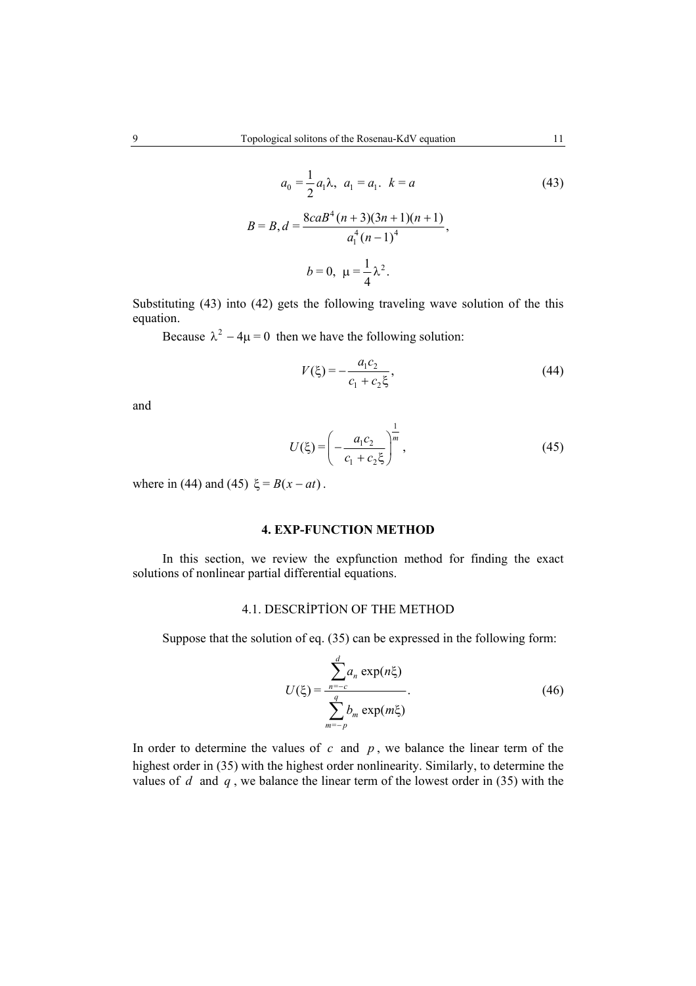$$
a_0 = \frac{1}{2} a_1 \lambda, \ a_1 = a_1. \ k = a
$$
\n
$$
B = B, d = \frac{8caB^4(n+3)(3n+1)(n+1)}{a_1^4(n-1)^4},
$$
\n
$$
b = 0, \ \mu = \frac{1}{4} \lambda^2.
$$
\n(43)

Substituting (43) into (42) gets the following traveling wave solution of the this equation.

Because  $\lambda^2 - 4\mu = 0$  then we have the following solution:

$$
V(\xi) = -\frac{a_1 c_2}{c_1 + c_2 \xi},\tag{44}
$$

and

$$
U(\xi) = \left(-\frac{a_1 c_2}{c_1 + c_2 \xi}\right)^{\frac{1}{m}},\tag{45}
$$

where in (44) and (45)  $\xi = B(x - at)$ .

#### **4. EXP-FUNCTION METHOD**

In this section, we review the expfunction method for finding the exact solutions of nonlinear partial differential equations.

# 4.1. DESCRİPTİON OF THE METHOD

Suppose that the solution of eq. (35) can be expressed in the following form:

$$
U(\xi) = \frac{\sum_{n=-c}^{d} a_n \exp(n\xi)}{\sum_{m=-p}^{q} b_m \exp(m\xi)}.
$$
 (46)

In order to determine the values of  $c$  and  $p$ , we balance the linear term of the highest order in (35) with the highest order nonlinearity. Similarly, to determine the values of *d* and *q* , we balance the linear term of the lowest order in (35) with the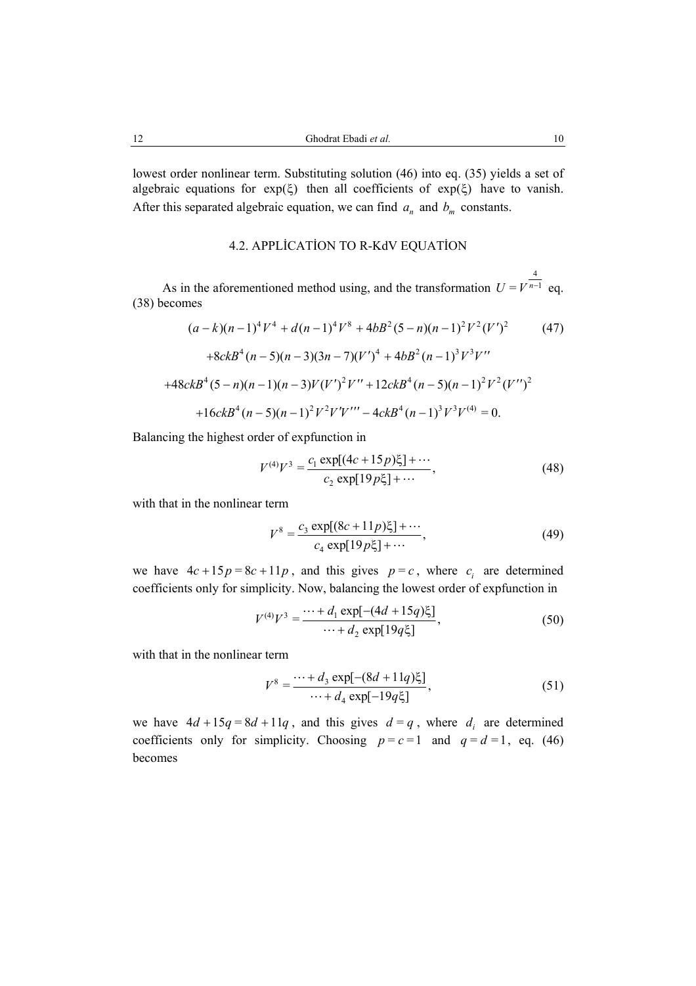lowest order nonlinear term. Substituting solution (46) into eq. (35) yields a set of algebraic equations for exp( $\xi$ ) then all coefficients of exp( $\xi$ ) have to vanish. After this separated algebraic equation, we can find  $a_n$  and  $b_m$  constants.

## 4.2. APPLİCATİON TO R-KdV EQUATİON

As in the aforementioned method using, and the transformation 4  $U = V^{n-1}$  eq. (38) becomes

$$
(a-k)(n-1)^{4}V^{4} + d(n-1)^{4}V^{8} + 4bB^{2}(5-n)(n-1)^{2}V^{2}(V')^{2}
$$
(47)  
+8ckB<sup>4</sup>(n-5)(n-3)(3n-7)(V')<sup>4</sup> + 4bB<sup>2</sup>(n-1)<sup>3</sup>V<sup>3</sup>V''  
+48ckB<sup>4</sup>(5-n)(n-1)(n-3)V(V')<sup>2</sup>V'' + 12ckB<sup>4</sup>(n-5)(n-1)<sup>2</sup>V<sup>2</sup>(V'')<sup>2</sup>  
+16ckB<sup>4</sup>(n-5)(n-1)<sup>2</sup>V<sup>2</sup>V'V''' - 4ckB<sup>4</sup>(n-1)<sup>3</sup>V<sup>3</sup>V<sup>(4)</sup> = 0.

Balancing the highest order of expfunction in

$$
V^{(4)}V^3 = \frac{c_1 \exp[(4c+15p)\xi] + \cdots}{c_2 \exp[19p\xi] + \cdots},
$$
\n(48)

with that in the nonlinear term

$$
V^8 = \frac{c_3 \exp[(8c+11p)\xi] + \cdots}{c_4 \exp[19p\xi] + \cdots},
$$
\n(49)

we have  $4c + 15p = 8c + 11p$ , and this gives  $p = c$ , where  $c_i$  are determined coefficients only for simplicity. Now, balancing the lowest order of expfunction in

$$
V^{(4)}V^3 = \frac{\cdots + d_1 \exp[-(4d + 15q)\xi]}{\cdots + d_2 \exp[19q\xi]},
$$
\n(50)

with that in the nonlinear term

$$
V^8 = \frac{\cdots + d_3 \exp[-(8d + 11q)\xi]}{\cdots + d_4 \exp[-19q\xi]},
$$
\n(51)

we have  $4d + 15q = 8d + 11q$ , and this gives  $d = q$ , where  $d_i$  are determined coefficients only for simplicity. Choosing  $p = c = 1$  and  $q = d = 1$ , eq. (46) becomes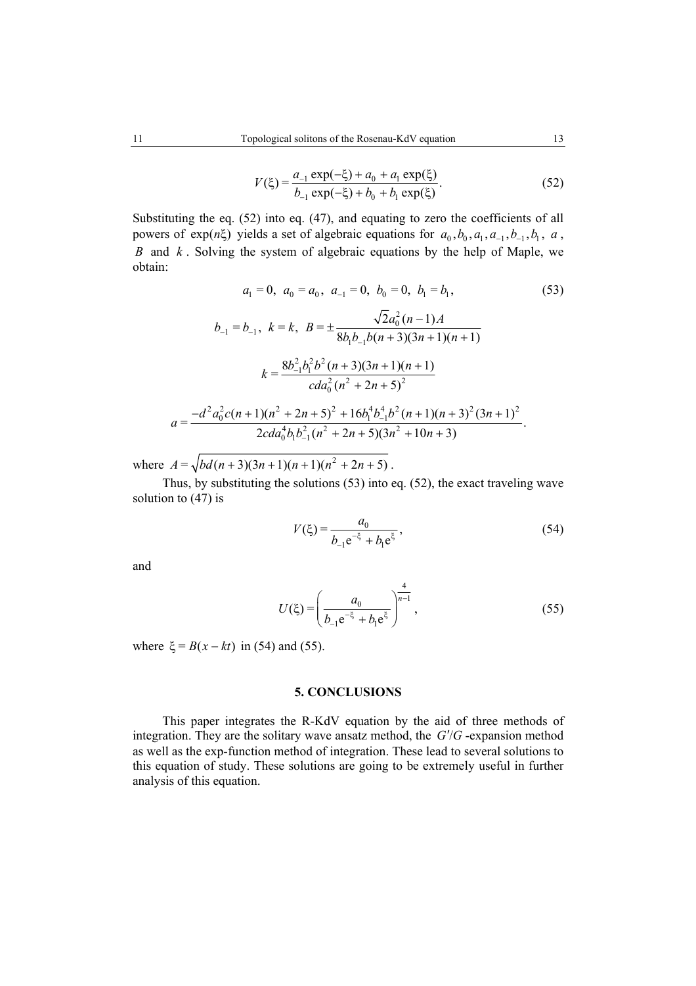$$
V(\xi) = \frac{a_{-1} \exp(-\xi) + a_0 + a_1 \exp(\xi)}{b_{-1} \exp(-\xi) + b_0 + b_1 \exp(\xi)}.
$$
 (52)

Substituting the eq. (52) into eq. (47), and equating to zero the coefficients of all powers of exp( $n\xi$ ) yields a set of algebraic equations for  $a_0, b_0, a_1, a_{-1}, b_1, a_2,$ *B* and *k* . Solving the system of algebraic equations by the help of Maple, we obtain:

$$
a_1 = 0, \ a_0 = a_0, \ a_{-1} = 0, \ b_0 = 0, \ b_1 = b_1,
$$
\n
$$
b_{-1} = b_{-1}, \ k = k, \ B = \pm \frac{\sqrt{2}a_0^2 (n-1)A}{8b_1b_{-1}b(n+3)(3n+1)(n+1)}
$$
\n
$$
k = \frac{8b_{-1}^2b_1^2b^2 (n+3)(3n+1)(n+1)}{cda_0^2(n^2+2n+5)^2}
$$
\n
$$
a = \frac{-d^2a_0^2c(n+1)(n^2+2n+5)^2 + 16b_1^4b_{-1}^4b^2 (n+1)(n+3)^2(3n+1)^2}{2cda_0^4b_1b_{-1}^2(n^2+2n+5)(3n^2+10n+3)}.
$$
\n(53)

where  $A = \sqrt{bd(n+3)(3n+1)(n+1)(n^2+2n+5)}$ .

Thus, by substituting the solutions (53) into eq. (52), the exact traveling wave solution to (47) is

$$
V(\xi) = \frac{a_0}{b_{-1}e^{-\xi} + b_1e^{\xi}},
$$
\n(54)

and

$$
U(\xi) = \left(\frac{a_0}{b_{-1}e^{-\xi} + b_1e^{\xi}}\right)^{\frac{4}{n-1}},
$$
\n(55)

where  $\xi = B(x - kt)$  in (54) and (55).

### **5. CONCLUSIONS**

This paper integrates the R-KdV equation by the aid of three methods of integration. They are the solitary wave ansatz method, the  $G/G$ -expansion method as well as the exp-function method of integration. These lead to several solutions to this equation of study. These solutions are going to be extremely useful in further analysis of this equation.